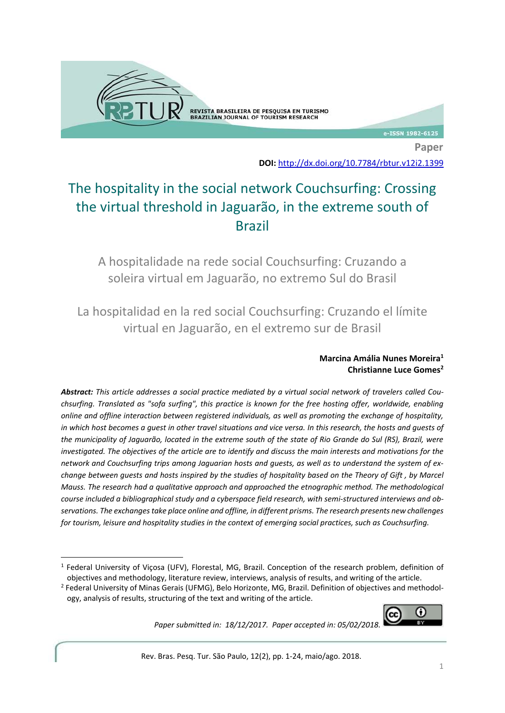

**DOI:** <http://dx.doi.org/10.7784/rbtur.v12i2.1399> **Paper**

e-ISSN 1982-6125

# The hospitality in the social network Couchsurfing: Crossing the virtual threshold in Jaguarão, in the extreme south of Brazil

A hospitalidade na rede social Couchsurfing: Cruzando a soleira virtual em Jaguarão, no extremo Sul do Brasil

La hospitalidad en la red social Couchsurfing: Cruzando el límite virtual en Jaguarão, en el extremo sur de Brasil

### **Marcina Amália Nunes Moreira<sup>1</sup> Christianne Luce Gomes<sup>2</sup>**

*Abstract: This article addresses a social practice mediated by a virtual social network of travelers called Couchsurfing. Translated as "sofa surfing", this practice is known for the free hosting offer, worldwide, enabling online and offline interaction between registered individuals, as well as promoting the exchange of hospitality, in which host becomes a guest in other travel situations and vice versa. In this research, the hosts and guests of the municipality of Jaguarão, located in the extreme south of the state of Rio Grande do Sul (RS), Brazil, were investigated. The objectives of the article are to identify and discuss the main interests and motivations for the network and Couchsurfing trips among Jaguarian hosts and guests, as well as to understand the system of exchange between guests and hosts inspired by the studies of hospitality based on the Theory of Gift , by Marcel Mauss. The research had a qualitative approach and approached the etnographic method. The methodological course included a bibliographical study and a cyberspace field research, with semi-structured interviews and observations. The exchanges take place online and offline, in different prisms. The research presents new challenges for tourism, leisure and hospitality studies in the context of emerging social practices, such as Couchsurfing.*

<sup>&</sup>lt;sup>2</sup> Federal University of Minas Gerais (UFMG), Belo Horizonte, MG, Brazil. Definition of objectives and methodology, analysis of results, structuring of the text and writing of the article.



*Paper submitted in: 18/12/2017. Paper accepted in: 05/02/2018.*

<sup>1</sup> <sup>1</sup> Federal University of Viçosa (UFV), Florestal, MG, Brazil. Conception of the research problem, definition of objectives and methodology, literature review, interviews, analysis of results, and writing of the article.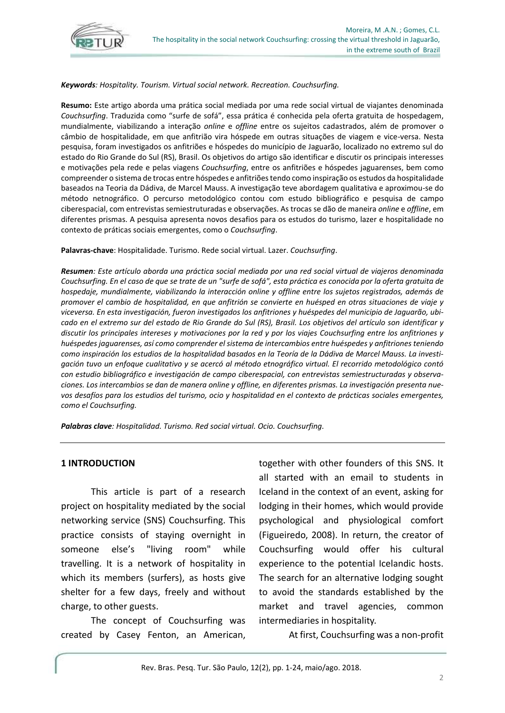

*Keywords: Hospitality. Tourism. Virtual social network. Recreation. Couchsurfing.*

**Resumo:** Este artigo aborda uma prática social mediada por uma rede social virtual de viajantes denominada *Couchsurfing*. Traduzida como "surfe de sofá", essa prática é conhecida pela oferta gratuita de hospedagem, mundialmente, viabilizando a interação *online* e *offline* entre os sujeitos cadastrados, além de promover o câmbio de hospitalidade, em que anfitrião vira hóspede em outras situações de viagem e vice-versa. Nesta pesquisa, foram investigados os anfitriões e hóspedes do município de Jaguarão, localizado no extremo sul do estado do Rio Grande do Sul (RS), Brasil. Os objetivos do artigo são identificar e discutir os principais interesses e motivações pela rede e pelas viagens *Couchsurfing*, entre os anfitriões e hóspedes jaguarenses, bem como compreender o sistema de trocas entre hóspedes e anfitriões tendo como inspiração os estudos da hospitalidade baseados na Teoria da Dádiva, de Marcel Mauss. A investigação teve abordagem qualitativa e aproximou-se do método netnográfico. O percurso metodológico contou com estudo bibliográfico e pesquisa de campo ciberespacial, com entrevistas semiestruturadas e observações. As trocas se dão de maneira *online* e *offline*, em diferentes prismas. A pesquisa apresenta novos desafios para os estudos do turismo, lazer e hospitalidade no contexto de práticas sociais emergentes, como o *Couchsurfing*.

**Palavras-chave**: Hospitalidade. Turismo. Rede social virtual. Lazer. *Couchsurfing*.

*Resumen: Este artículo aborda una práctica social mediada por una red social virtual de viajeros denominada Couchsurfing. En el caso de que se trate de un "surfe de sofá", esta práctica es conocida por la oferta gratuita de hospedaje, mundialmente, viabilizando la interacción online y offline entre los sujetos registrados, además de promover el cambio de hospitalidad, en que anfitrión se convierte en huésped en otras situaciones de viaje y viceversa. En esta investigación, fueron investigados los anfitriones y huéspedes del municipio de Jaguarão, ubicado en el extremo sur del estado de Rio Grande do Sul (RS), Brasil. Los objetivos del artículo son identificar y discutir los principales intereses y motivaciones por la red y por los viajes Couchsurfing entre los anfitriones y huéspedes jaguarenses, así como comprender el sistema de intercambios entre huéspedes y anfitriones teniendo como inspiración los estudios de la hospitalidad basados en la Teoría de la Dádiva de Marcel Mauss. La investigación tuvo un enfoque cualitativo y se acercó al método etnográfico virtual. El recorrido metodológico contó con estudio bibliográfico e investigación de campo ciberespacial, con entrevistas semiestructuradas y observaciones. Los intercambios se dan de manera online y offline, en diferentes prismas. La investigación presenta nuevos desafíos para los estudios del turismo, ocio y hospitalidad en el contexto de prácticas sociales emergentes, como el Couchsurfing.*

*Palabras clave: Hospitalidad. Turismo. Red social virtual. Ocio. Couchsurfing.*

#### **1 INTRODUCTION**

This article is part of a research project on hospitality mediated by the social networking service (SNS) Couchsurfing. This practice consists of staying overnight in someone else's "living room" while travelling. It is a network of hospitality in which its members (surfers), as hosts give shelter for a few days, freely and without charge, to other guests.

The concept of Couchsurfing was created by Casey Fenton, an American,

together with other founders of this SNS. It all started with an email to students in Iceland in the context of an event, asking for lodging in their homes, which would provide psychological and physiological comfort (Figueiredo, 2008). In return, the creator of Couchsurfing would offer his cultural experience to the potential Icelandic hosts. The search for an alternative lodging sought to avoid the standards established by the market and travel agencies, common intermediaries in hospitality.

At first, Couchsurfing was a non-profit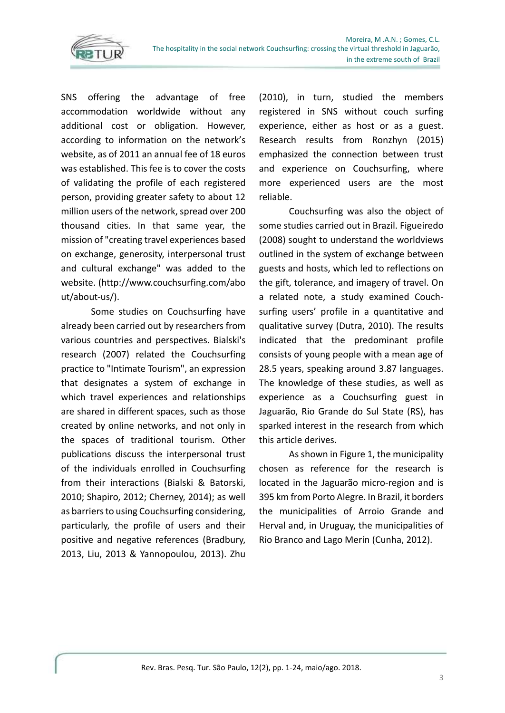

SNS offering the advantage of free accommodation worldwide without any additional cost or obligation. However, according to information on the network's website, as of 2011 an annual fee of 18 euros was established. This fee is to cover the costs of validating the profile of each registered person, providing greater safety to about 12 million users of the network, spread over 200 thousand cities. In that same year, the mission of "creating travel experiences based on exchange, generosity, interpersonal trust and cultural exchange" was added to the website. (http://www.couchsurfing.com/abo ut/about-us/).

Some studies on Couchsurfing have already been carried out by researchers from various countries and perspectives. Bialski's research (2007) related the Couchsurfing practice to "Intimate Tourism", an expression that designates a system of exchange in which travel experiences and relationships are shared in different spaces, such as those created by online networks, and not only in the spaces of traditional tourism. Other publications discuss the interpersonal trust of the individuals enrolled in Couchsurfing from their interactions (Bialski & Batorski, 2010; Shapiro, 2012; Cherney, 2014); as well as barriers to using Couchsurfing considering, particularly, the profile of users and their positive and negative references (Bradbury, 2013, Liu, 2013 & Yannopoulou, 2013). Zhu

(2010), in turn, studied the members registered in SNS without couch surfing experience, either as host or as a guest. Research results from Ronzhyn (2015) emphasized the connection between trust and experience on Couchsurfing, where more experienced users are the most reliable.

Couchsurfing was also the object of some studies carried out in Brazil. Figueiredo (2008) sought to understand the worldviews outlined in the system of exchange between guests and hosts, which led to reflections on the gift, tolerance, and imagery of travel. On a related note, a study examined Couchsurfing users' profile in a quantitative and qualitative survey (Dutra, 2010). The results indicated that the predominant profile consists of young people with a mean age of 28.5 years, speaking around 3.87 languages. The knowledge of these studies, as well as experience as a Couchsurfing guest in Jaguarão, Rio Grande do Sul State (RS), has sparked interest in the research from which this article derives.

As shown in Figure 1, the municipality chosen as reference for the research is located in the Jaguarão micro-region and is 395 km from Porto Alegre. In Brazil, it borders the municipalities of Arroio Grande and Herval and, in Uruguay, the municipalities of Rio Branco and Lago Merín (Cunha, 2012).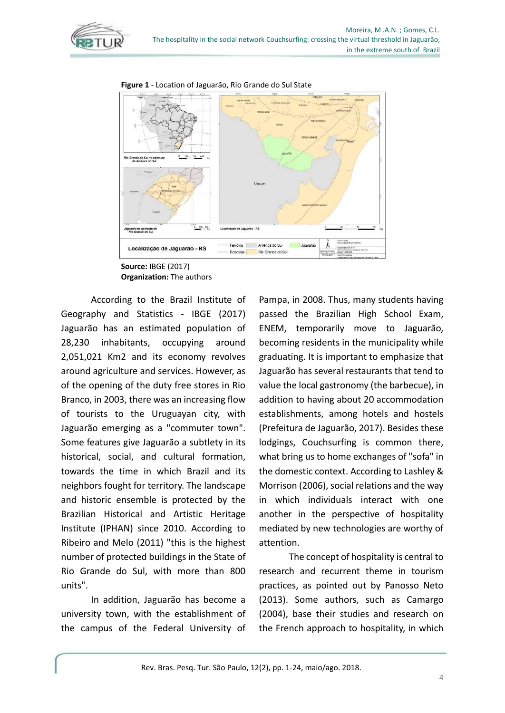



**Figure 1** - Location of Jaguarão, Rio Grande do Sul State

**Source:** IBGE (2017) **Organization:** The authors

According to the Brazil Institute of Geography and Statistics - IBGE (2017) Jaguarão has an estimated population of 28,230 inhabitants, occupying around 2,051,021 Km2 and its economy revolves around agriculture and services. However, as of the opening of the duty free stores in Rio Branco, in 2003, there was an increasing flow of tourists to the Uruguayan city, with Jaguarão emerging as a "commuter town". Some features give Jaguarão a subtlety in its historical, social, and cultural formation, towards the time in which Brazil and its neighbors fought for territory. The landscape and historic ensemble is protected by the Brazilian Historical and Artistic Heritage Institute (IPHAN) since 2010. According to Ribeiro and Melo (2011) "this is the highest number of protected buildings in the State of Rio Grande do Sul, with more than 800 units".

In addition, Jaguarão has become a university town, with the establishment of the campus of the Federal University of Pampa, in 2008. Thus, many students having passed the Brazilian High School Exam, ENEM, temporarily move to Jaguarão, becoming residents in the municipality while graduating. It is important to emphasize that Jaguarão has several restaurants that tend to value the local gastronomy (the barbecue), in addition to having about 20 accommodation establishments, among hotels and hostels (Prefeitura de Jaguarão, 2017). Besides these lodgings, Couchsurfing is common there, what bring us to home exchanges of "sofa" in the domestic context. According to Lashley & Morrison (2006), social relations and the way in which individuals interact with one another in the perspective of hospitality mediated by new technologies are worthy of attention.

The concept of hospitality is central to research and recurrent theme in tourism practices, as pointed out by Panosso Neto (2013). Some authors, such as Camargo (2004), base their studies and research on the French approach to hospitality, in which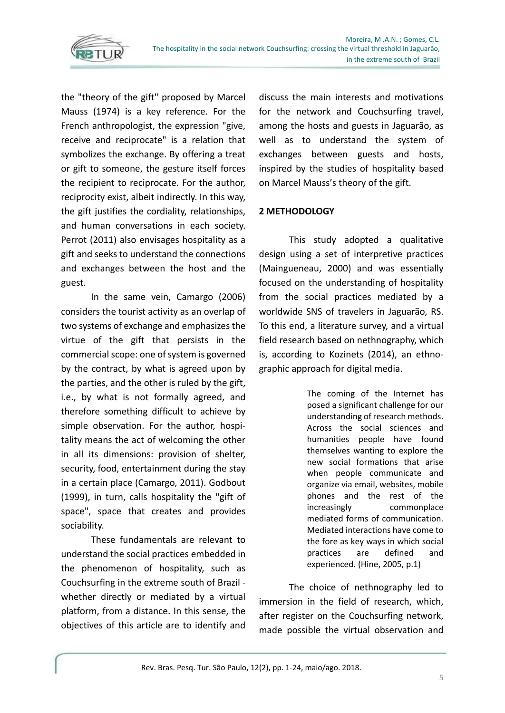

the "theory of the gift" proposed by Marcel Mauss (1974) is a key reference. For the French anthropologist, the expression "give, receive and reciprocate" is a relation that symbolizes the exchange. By offering a treat or gift to someone, the gesture itself forces the recipient to reciprocate. For the author, reciprocity exist, albeit indirectly. In this way, the gift justifies the cordiality, relationships, and human conversations in each society. Perrot (2011) also envisages hospitality as a gift and seeks to understand the connections and exchanges between the host and the guest.

In the same vein, Camargo (2006) considers the tourist activity as an overlap of two systems of exchange and emphasizes the virtue of the gift that persists in the commercial scope: one of system is governed by the contract, by what is agreed upon by the parties, and the other is ruled by the gift, i.e., by what is not formally agreed, and therefore something difficult to achieve by simple observation. For the author, hospitality means the act of welcoming the other in all its dimensions: provision of shelter, security, food, entertainment during the stay in a certain place (Camargo, 2011). Godbout (1999), in turn, calls hospitality the "gift of space", space that creates and provides sociability.

These fundamentals are relevant to understand the social practices embedded in the phenomenon of hospitality, such as Couchsurfing in the extreme south of Brazil whether directly or mediated by a virtual platform, from a distance. In this sense, the objectives of this article are to identify and

discuss the main interests and motivations for the network and Couchsurfing travel, among the hosts and guests in Jaguarão, as well as to understand the system of exchanges between guests and hosts, inspired by the studies of hospitality based on Marcel Mauss's theory of the gift.

## **2 METHODOLOGY**

This study adopted a qualitative design using a set of interpretive practices (Maingueneau, 2000) and was essentially focused on the understanding of hospitality from the social practices mediated by a worldwide SNS of travelers in Jaguarão, RS. To this end, a literature survey, and a virtual field research based on nethnography, which is, according to Kozinets (2014), an ethnographic approach for digital media.

> The coming of the Internet has posed a significant challenge for our understanding of research methods. Across the social sciences and humanities people have found themselves wanting to explore the new social formations that arise when people communicate and organize via email, websites, mobile phones and the rest of the increasingly commonplace mediated forms of communication. Mediated interactions have come to the fore as key ways in which social practices are defined and experienced. (Hine, 2005, p.1)

The choice of nethnography led to immersion in the field of research, which, after register on the Couchsurfing network, made possible the virtual observation and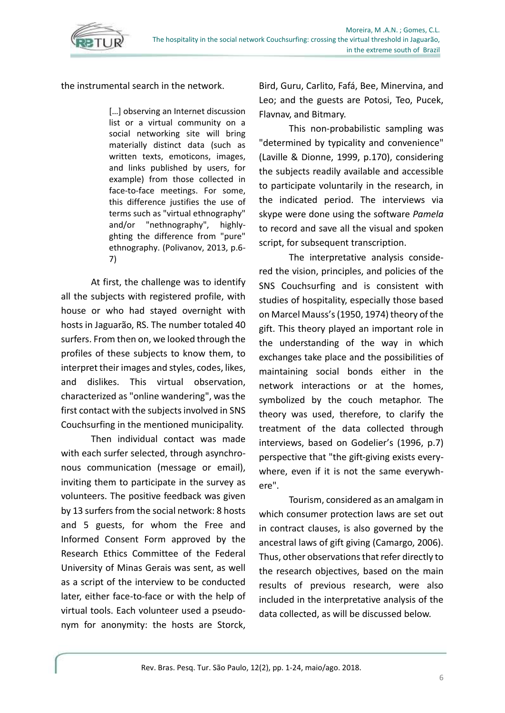

the instrumental search in the network.

[...] observing an Internet discussion list or a virtual community on a social networking site will bring materially distinct data (such as written texts, emoticons, images, and links published by users, for example) from those collected in face-to-face meetings. For some, this difference justifies the use of terms such as "virtual ethnography" and/or "nethnography", highlyghting the difference from "pure" ethnography. (Polivanov, 2013, p.6- 7)

At first, the challenge was to identify all the subjects with registered profile, with house or who had stayed overnight with hosts in Jaguarão, RS. The number totaled 40 surfers. From then on, we looked through the profiles of these subjects to know them, to interpret their images and styles, codes, likes, and dislikes. This virtual observation, characterized as "online wandering", was the first contact with the subjects involved in SNS Couchsurfing in the mentioned municipality.

Then individual contact was made with each surfer selected, through asynchronous communication (message or email), inviting them to participate in the survey as volunteers. The positive feedback was given by 13 surfers from the social network: 8 hosts and 5 guests, for whom the Free and Informed Consent Form approved by the Research Ethics Committee of the Federal University of Minas Gerais was sent, as well as a script of the interview to be conducted later, either face-to-face or with the help of virtual tools. Each volunteer used a pseudonym for anonymity: the hosts are Storck,

Bird, Guru, Carlito, Fafá, Bee, Minervina, and Leo; and the guests are Potosi, Teo, Pucek, Flavnav, and Bitmary.

This non-probabilistic sampling was "determined by typicality and convenience" (Laville & Dionne, 1999, p.170), considering the subjects readily available and accessible to participate voluntarily in the research, in the indicated period. The interviews via skype were done using the software *Pamela* to record and save all the visual and spoken script, for subsequent transcription.

The interpretative analysis considered the vision, principles, and policies of the SNS Couchsurfing and is consistent with studies of hospitality, especially those based on Marcel Mauss's (1950, 1974) theory of the gift. This theory played an important role in the understanding of the way in which exchanges take place and the possibilities of maintaining social bonds either in the network interactions or at the homes, symbolized by the couch metaphor. The theory was used, therefore, to clarify the treatment of the data collected through interviews, based on Godelier's (1996, p.7) perspective that "the gift-giving exists everywhere, even if it is not the same everywhere".

Tourism, considered as an amalgam in which consumer protection laws are set out in contract clauses, is also governed by the ancestral laws of gift giving (Camargo, 2006). Thus, other observations that refer directly to the research objectives, based on the main results of previous research, were also included in the interpretative analysis of the data collected, as will be discussed below.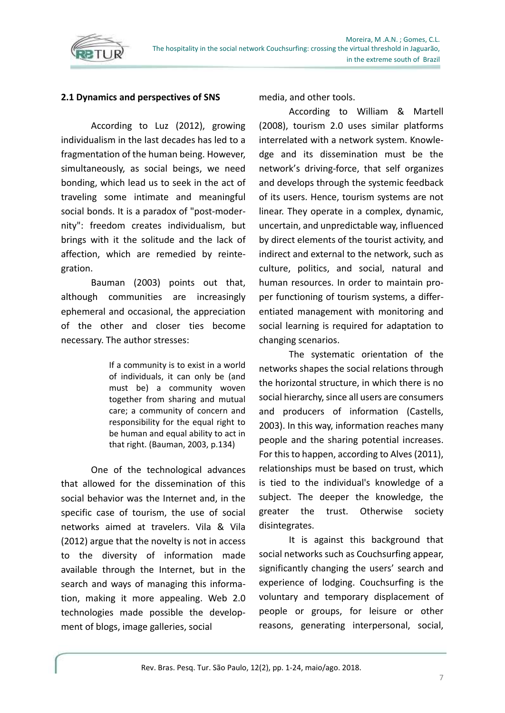

### **2.1 Dynamics and perspectives of SNS**

According to Luz (2012), growing individualism in the last decades has led to a fragmentation of the human being. However, simultaneously, as social beings, we need bonding, which lead us to seek in the act of traveling some intimate and meaningful social bonds. It is a paradox of "post-modernity": freedom creates individualism, but brings with it the solitude and the lack of affection, which are remedied by reintegration.

Bauman (2003) points out that, although communities are increasingly ephemeral and occasional, the appreciation of the other and closer ties become necessary. The author stresses:

> If a community is to exist in a world of individuals, it can only be (and must be) a community woven together from sharing and mutual care; a community of concern and responsibility for the equal right to be human and equal ability to act in that right. (Bauman, 2003, p.134)

One of the technological advances that allowed for the dissemination of this social behavior was the Internet and, in the specific case of tourism, the use of social networks aimed at travelers. Vila & Vila (2012) argue that the novelty is not in access to the diversity of information made available through the Internet, but in the search and ways of managing this information, making it more appealing. Web 2.0 technologies made possible the development of blogs, image galleries, social

media, and other tools.

According to William & Martell (2008), tourism 2.0 uses similar platforms interrelated with a network system. Knowledge and its dissemination must be the network's driving-force, that self organizes and develops through the systemic feedback of its users. Hence, tourism systems are not linear. They operate in a complex, dynamic, uncertain, and unpredictable way, influenced by direct elements of the tourist activity, and indirect and external to the network, such as culture, politics, and social, natural and human resources. In order to maintain proper functioning of tourism systems, a differentiated management with monitoring and social learning is required for adaptation to changing scenarios.

The systematic orientation of the networks shapes the social relations through the horizontal structure, in which there is no social hierarchy, since all users are consumers and producers of information (Castells, 2003). In this way, information reaches many people and the sharing potential increases. For this to happen, according to Alves (2011), relationships must be based on trust, which is tied to the individual's knowledge of a subject. The deeper the knowledge, the greater the trust. Otherwise society disintegrates.

It is against this background that social networks such as Couchsurfing appear, significantly changing the users' search and experience of lodging. Couchsurfing is the voluntary and temporary displacement of people or groups, for leisure or other reasons, generating interpersonal, social,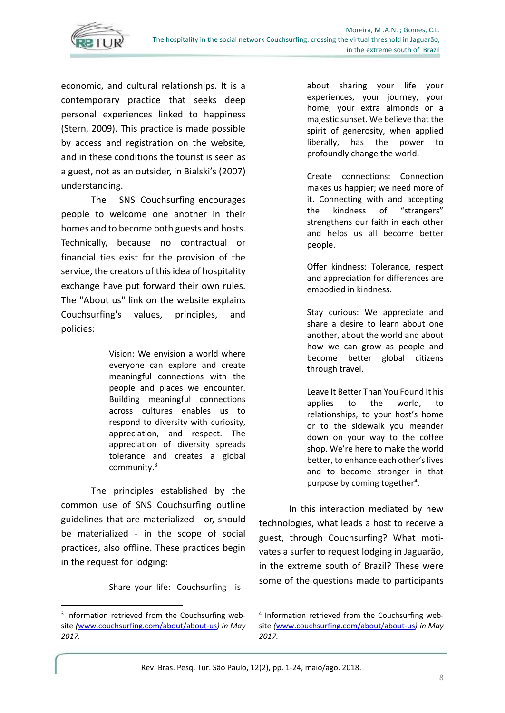

economic, and cultural relationships. It is a contemporary practice that seeks deep personal experiences linked to happiness (Stern, 2009). This practice is made possible by access and registration on the website, and in these conditions the tourist is seen as a guest, not as an outsider, in Bialski's (2007) understanding.

The SNS Couchsurfing encourages people to welcome one another in their homes and to become both guests and hosts. Technically, because no contractual or financial ties exist for the provision of the service, the creators of this idea of hospitality exchange have put forward their own rules. The "About us" link on the website explains Couchsurfing's values, principles, and policies:

> Vision: We envision a world where everyone can explore and create meaningful connections with the people and places we encounter. Building meaningful connections across cultures enables us to respond to diversity with curiosity, appreciation, and respect. The appreciation of diversity spreads tolerance and creates a global community.<sup>3</sup>

The principles established by the common use of SNS Couchsurfing outline guidelines that are materialized - or, should be materialized - in the scope of social practices, also offline. These practices begin in the request for lodging:

Share your life:Couchsurfing is

**.** 

about sharing your life your experiences, your journey, your home, your extra almonds or a majestic sunset. We believe that the spirit of generosity, when applied liberally, has the power to profoundly change the world.

Create connections: Connection makes us happier; we need more of it. Connecting with and accepting the kindness of "strangers" strengthens our faith in each other and helps us all become better people.

Offer kindness: Tolerance, respect and appreciation for differences are embodied in kindness.

Stay curious: We appreciate and share a desire to learn about one another, about the world and about how we can grow as people and become better global citizens through travel.

Leave It Better Than You Found It his applies to the world, to relationships, to your host's home or to the sidewalk you meander down on your way to the coffee shop. We're here to make the world better, to enhance each other's lives and to become stronger in that purpose by coming together<sup>4</sup>.

In this interaction mediated by new technologies, what leads a host to receive a guest, through Couchsurfing? What motivates a surfer to request lodging in Jaguarão, in the extreme south of Brazil? These were some of the questions made to participants

<sup>&</sup>lt;sup>3</sup> Information retrieved from the Couchsurfing website *(*[www.couchsurfing.com/about/about-us](http://www.couchsurfing.com/about/about-us)*) in May 2017.* 

<sup>4</sup> Information retrieved from the Couchsurfing website *(*[www.couchsurfing.com/about/about-us](http://www.couchsurfing.com/about/about-us)*) in May 2017.*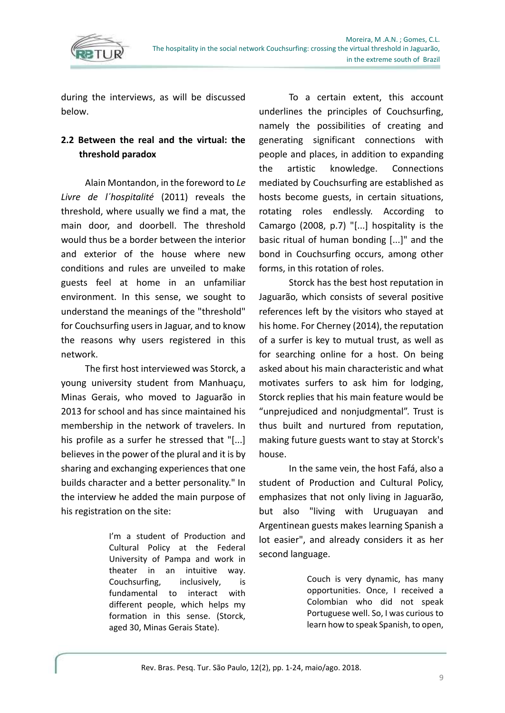

during the interviews, as will be discussed below.

# **2.2 Between the real and the virtual: the threshold paradox**

Alain Montandon, in the foreword to *Le Livre de l´hospitalité* (2011) reveals the threshold, where usually we find a mat, the main door, and doorbell. The threshold would thus be a border between the interior and exterior of the house where new conditions and rules are unveiled to make guests feel at home in an unfamiliar environment. In this sense, we sought to understand the meanings of the "threshold" for Couchsurfing users in Jaguar, and to know the reasons why users registered in this network.

The first host interviewed was Storck, a young university student from Manhuaçu, Minas Gerais, who moved to Jaguarão in 2013 for school and has since maintained his membership in the network of travelers. In his profile as a surfer he stressed that "[...] believes in the power of the plural and it is by sharing and exchanging experiences that one builds character and a better personality." In the interview he added the main purpose of his registration on the site:

> I'm a student of Production and Cultural Policy at the Federal University of Pampa and work in theater in an intuitive way. Couchsurfing, inclusively, is fundamental to interact with different people, which helps my formation in this sense. (Storck, aged 30, Minas Gerais State).

To a certain extent, this account underlines the principles of Couchsurfing, namely the possibilities of creating and generating significant connections with people and places, in addition to expanding the artistic knowledge. Connections mediated by Couchsurfing are established as hosts become guests, in certain situations, rotating roles endlessly. According to Camargo (2008, p.7) "[...] hospitality is the basic ritual of human bonding [...]" and the bond in Couchsurfing occurs, among other forms, in this rotation of roles.

Storck has the best host reputation in Jaguarão, which consists of several positive references left by the visitors who stayed at his home. For Cherney (2014), the reputation of a surfer is key to mutual trust, as well as for searching online for a host. On being asked about his main characteristic and what motivates surfers to ask him for lodging, Storck replies that his main feature would be "unprejudiced and nonjudgmental". Trust is thus built and nurtured from reputation, making future guests want to stay at Storck's house.

In the same vein, the host Fafá, also a student of Production and Cultural Policy, emphasizes that not only living in Jaguarão, but also "living with Uruguayan and Argentinean guests makes learning Spanish a lot easier", and already considers it as her second language.

> Couch is very dynamic, has many opportunities. Once, I received a Colombian who did not speak Portuguese well. So, I was curious to learn how to speak Spanish, to open,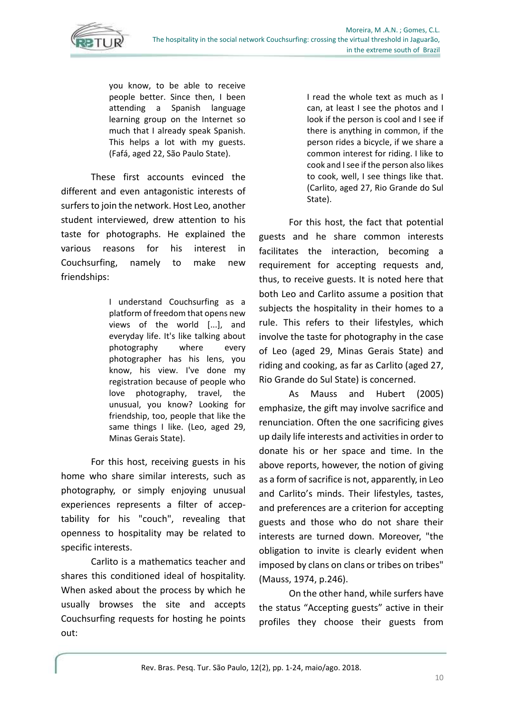

you know, to be able to receive people better. Since then, I been attending a Spanish language learning group on the Internet so much that I already speak Spanish. This helps a lot with my guests. (Fafá, aged 22, São Paulo State).

These first accounts evinced the different and even antagonistic interests of surfers to join the network. Host Leo, another student interviewed, drew attention to his taste for photographs. He explained the various reasons for his interest in Couchsurfing, namely to make new friendships:

> I understand Couchsurfing as a platform of freedom that opens new views of the world [...], and everyday life. It's like talking about photography where every photographer has his lens, you know, his view. I've done my registration because of people who love photography, travel, the unusual, you know? Looking for friendship, too, people that like the same things I like. (Leo, aged 29, Minas Gerais State).

For this host, receiving guests in his home who share similar interests, such as photography, or simply enjoying unusual experiences represents a filter of acceptability for his "couch", revealing that openness to hospitality may be related to specific interests.

Carlito is a mathematics teacher and shares this conditioned ideal of hospitality. When asked about the process by which he usually browses the site and accepts Couchsurfing requests for hosting he points out:

I read the whole text as much as I can, at least I see the photos and I look if the person is cool and I see if there is anything in common, if the person rides a bicycle, if we share a common interest for riding. I like to cook and I see if the person also likes to cook, well, I see things like that. (Carlito, aged 27, Rio Grande do Sul State).

For this host, the fact that potential guests and he share common interests facilitates the interaction, becoming a requirement for accepting requests and, thus, to receive guests. It is noted here that both Leo and Carlito assume a position that subjects the hospitality in their homes to a rule. This refers to their lifestyles, which involve the taste for photography in the case of Leo (aged 29, Minas Gerais State) and riding and cooking, as far as Carlito (aged 27, Rio Grande do Sul State) is concerned.

As Mauss and Hubert (2005) emphasize, the gift may involve sacrifice and renunciation. Often the one sacrificing gives up daily life interests and activities in order to donate his or her space and time. In the above reports, however, the notion of giving as a form of sacrifice is not, apparently, in Leo and Carlito's minds. Their lifestyles, tastes, and preferences are a criterion for accepting guests and those who do not share their interests are turned down. Moreover, "the obligation to invite is clearly evident when imposed by clans on clans or tribes on tribes" (Mauss, 1974, p.246).

On the other hand, while surfers have the status "Accepting guests" active in their profiles they choose their guests from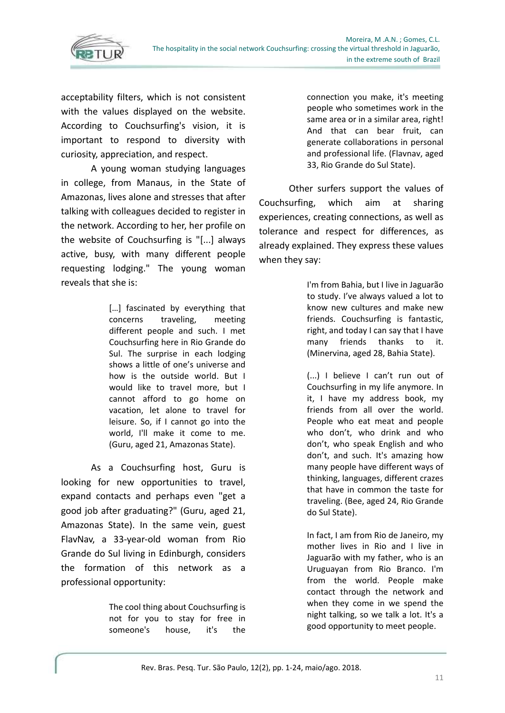

acceptability filters, which is not consistent with the values displayed on the website. According to Couchsurfing's vision, it is important to respond to diversity with curiosity, appreciation, and respect.

A young woman studying languages in college, from Manaus, in the State of Amazonas, lives alone and stresses that after talking with colleagues decided to register in the network. According to her, her profile on the website of Couchsurfing is "[...] always active, busy, with many different people requesting lodging." The young woman reveals that she is:

> [...] fascinated by everything that concerns traveling, meeting different people and such. I met Couchsurfing here in Rio Grande do Sul. The surprise in each lodging shows a little of one's universe and how is the outside world. But I would like to travel more, but I cannot afford to go home on vacation, let alone to travel for leisure. So, if I cannot go into the world, I'll make it come to me. (Guru, aged 21, Amazonas State).

As a Couchsurfing host, Guru is looking for new opportunities to travel, expand contacts and perhaps even "get a good job after graduating?" (Guru, aged 21, Amazonas State). In the same vein, guest FlavNav, a 33-year-old woman from Rio Grande do Sul living in Edinburgh, considers the formation of this network as a professional opportunity:

> The cool thing about Couchsurfing is not for you to stay for free in someone's house, it's the

connection you make, it's meeting people who sometimes work in the same area or in a similar area, right! And that can bear fruit, can generate collaborations in personal and professional life. (Flavnav, aged 33, Rio Grande do Sul State).

Other surfers support the values of Couchsurfing, which aim at sharing experiences, creating connections, as well as tolerance and respect for differences, as already explained. They express these values when they say:

> I'm from Bahia, but I live in Jaguarão to study. I've always valued a lot to know new cultures and make new friends. Couchsurfing is fantastic, right, and today I can say that I have many friends thanks to it. (Minervina, aged 28, Bahia State).

> (...) I believe I can't run out of Couchsurfing in my life anymore. In it, I have my address book, my friends from all over the world. People who eat meat and people who don't, who drink and who don't, who speak English and who don't, and such. It's amazing how many people have different ways of thinking, languages, different crazes that have in common the taste for traveling. (Bee, aged 24, Rio Grande do Sul State).

> In fact, I am from Rio de Janeiro, my mother lives in Rio and I live in Jaguarão with my father, who is an Uruguayan from Rio Branco. I'm from the world. People make contact through the network and when they come in we spend the night talking, so we talk a lot. It's a good opportunity to meet people.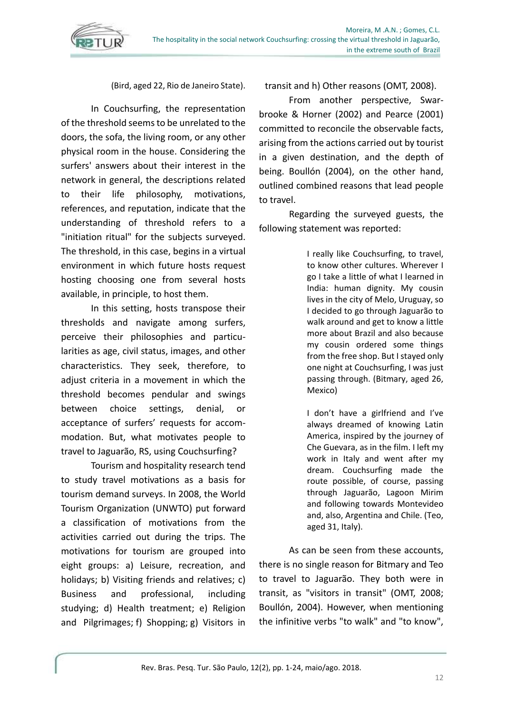

(Bird, aged 22, Rio de Janeiro State).

In Couchsurfing, the representation of the threshold seems to be unrelated to the doors, the sofa, the living room, or any other physical room in the house. Considering the surfers' answers about their interest in the network in general, the descriptions related to their life philosophy, motivations, references, and reputation, indicate that the understanding of threshold refers to a "initiation ritual" for the subjects surveyed. The threshold, in this case, begins in a virtual environment in which future hosts request hosting choosing one from several hosts available, in principle, to host them.

In this setting, hosts transpose their thresholds and navigate among surfers, perceive their philosophies and particularities as age, civil status, images, and other characteristics. They seek, therefore, to adjust criteria in a movement in which the threshold becomes pendular and swings between choice settings, denial, or acceptance of surfers' requests for accommodation. But, what motivates people to travel to Jaguarão, RS, using Couchsurfing?

Tourism and hospitality research tend to study travel motivations as a basis for tourism demand surveys. In 2008, the World Tourism Organization (UNWTO) put forward a classification of motivations from the activities carried out during the trips. The motivations for tourism are grouped into eight groups: a) Leisure, recreation, and holidays; b) Visiting friends and relatives; c) Business and professional, including studying; d) Health treatment; e) Religion and Pilgrimages; f) Shopping; g) Visitors in

transit and h) Other reasons (OMT, 2008).

From another perspective, Swarbrooke & Horner (2002) and Pearce (2001) committed to reconcile the observable facts, arising from the actions carried out by tourist in a given destination, and the depth of being. Boullón (2004), on the other hand, outlined combined reasons that lead people to travel.

Regarding the surveyed guests, the following statement was reported:

> I really like Couchsurfing, to travel, to know other cultures. Wherever I go I take a little of what I learned in India: human dignity. My cousin lives in the city of Melo, Uruguay, so I decided to go through Jaguarão to walk around and get to know a little more about Brazil and also because my cousin ordered some things from the free shop. But I stayed only one night at Couchsurfing, I was just passing through. (Bitmary, aged 26, Mexico)

> I don't have a girlfriend and I've always dreamed of knowing Latin America, inspired by the journey of Che Guevara, as in the film. I left my work in Italy and went after my dream. Couchsurfing made the route possible, of course, passing through Jaguarão, Lagoon Mirim and following towards Montevideo and, also, Argentina and Chile. (Teo, aged 31, Italy).

As can be seen from these accounts, there is no single reason for Bitmary and Teo to travel to Jaguarão. They both were in transit, as "visitors in transit" (OMT, 2008; Boullón, 2004). However, when mentioning the infinitive verbs "to walk" and "to know",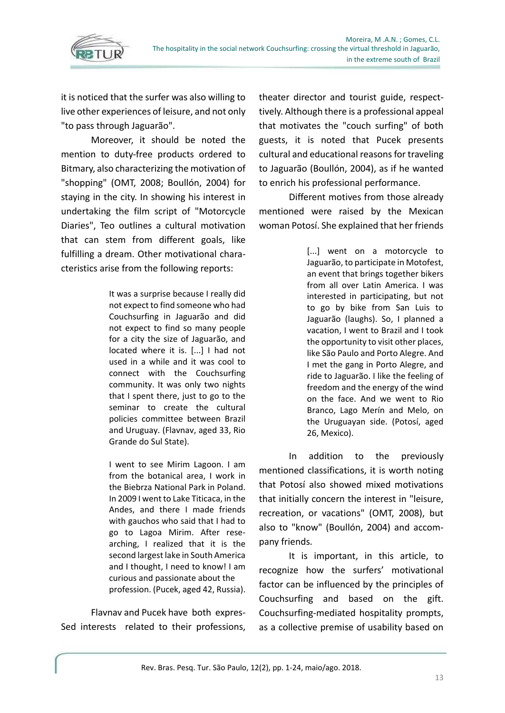

it is noticed that the surfer was also willing to live other experiences of leisure, and not only "to pass through Jaguarão".

Moreover, it should be noted the mention to duty-free products ordered to Bitmary, also characterizing the motivation of "shopping" (OMT, 2008; Boullón, 2004) for staying in the city. In showing his interest in undertaking the film script of "Motorcycle Diaries", Teo outlines a cultural motivation that can stem from different goals, like fulfilling a dream. Other motivational characteristics arise from the following reports:

> It was a surprise because I really did not expect to find someone who had Couchsurfing in Jaguarão and did not expect to find so many people for a city the size of Jaguarão, and located where it is. [...] I had not used in a while and it was cool to connect with the Couchsurfing community. It was only two nights that I spent there, just to go to the seminar to create the cultural policies committee between Brazil and Uruguay. (Flavnav, aged 33, Rio Grande do Sul State).

> I went to see Mirim Lagoon. I am from the botanical area, I work in the Biebrza National Park in Poland. In 2009 I went to Lake Titicaca, in the Andes, and there I made friends with gauchos who said that I had to go to Lagoa Mirim. After researching, I realized that it is the second largest lake in South America and I thought, I need to know! I am curious and passionate about the profession. (Pucek, aged 42, Russia).

Flavnav and Pucek have both expres-Sed interests related to their professions, theater director and tourist guide, respecttively. Although there is a professional appeal that motivates the "couch surfing" of both guests, it is noted that Pucek presents cultural and educational reasons for traveling to Jaguarão (Boullón, 2004), as if he wanted to enrich his professional performance.

Different motives from those already mentioned were raised by the Mexican woman Potosí. She explained that her friends

> [...] went on a motorcycle to Jaguarão, to participate in Motofest, an event that brings together bikers from all over Latin America. I was interested in participating, but not to go by bike from San Luis to Jaguarão (laughs). So, I planned a vacation, I went to Brazil and I took the opportunity to visit other places, like São Paulo and Porto Alegre. And I met the gang in Porto Alegre, and ride to Jaguarão. I like the feeling of freedom and the energy of the wind on the face. And we went to Rio Branco, Lago Merín and Melo, on the Uruguayan side. (Potosí, aged 26, Mexico).

In addition to the previously mentioned classifications, it is worth noting that Potosí also showed mixed motivations that initially concern the interest in "leisure, recreation, or vacations" (OMT, 2008), but also to "know" (Boullón, 2004) and accompany friends.

It is important, in this article, to recognize how the surfers' motivational factor can be influenced by the principles of Couchsurfing and based on the gift. Couchsurfing-mediated hospitality prompts, as a collective premise of usability based on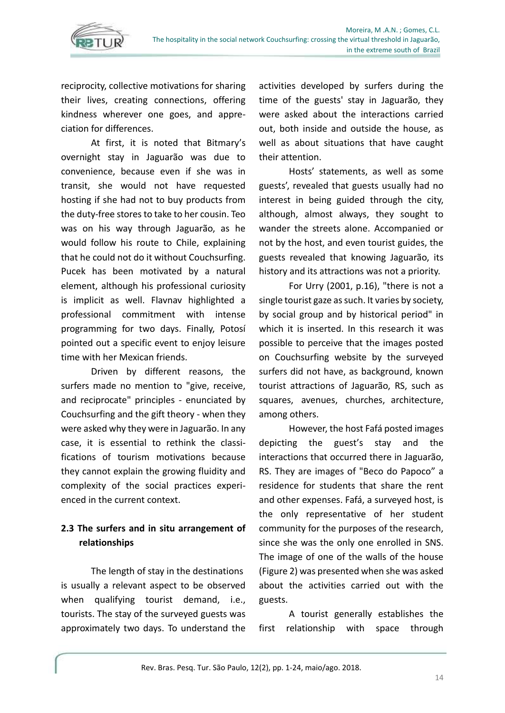

reciprocity, collective motivations for sharing their lives, creating connections, offering kindness wherever one goes, and appreciation for differences.

At first, it is noted that Bitmary's overnight stay in Jaguarão was due to convenience, because even if she was in transit, she would not have requested hosting if she had not to buy products from the duty-free stores to take to her cousin. Teo was on his way through Jaguarão, as he would follow his route to Chile, explaining that he could not do it without Couchsurfing. Pucek has been motivated by a natural element, although his professional curiosity is implicit as well. Flavnav highlighted a professional commitment with intense programming for two days. Finally, Potosí pointed out a specific event to enjoy leisure time with her Mexican friends.

Driven by different reasons, the surfers made no mention to "give, receive, and reciprocate" principles - enunciated by Couchsurfing and the gift theory - when they were asked why they were in Jaguarão. In any case, it is essential to rethink the classifications of tourism motivations because they cannot explain the growing fluidity and complexity of the social practices experienced in the current context.

# **2.3 The surfers and in situ arrangement of relationships**

The length of stay in the destinations is usually a relevant aspect to be observed when qualifying tourist demand, i.e., tourists. The stay of the surveyed guests was approximately two days. To understand the activities developed by surfers during the time of the guests' stay in Jaguarão, they were asked about the interactions carried out, both inside and outside the house, as well as about situations that have caught their attention.

Hosts' statements, as well as some guests', revealed that guests usually had no interest in being guided through the city, although, almost always, they sought to wander the streets alone. Accompanied or not by the host, and even tourist guides, the guests revealed that knowing Jaguarão, its history and its attractions was not a priority.

For Urry (2001, p.16), "there is not a single tourist gaze as such. It varies by society, by social group and by historical period" in which it is inserted. In this research it was possible to perceive that the images posted on Couchsurfing website by the surveyed surfers did not have, as background, known tourist attractions of Jaguarão, RS, such as squares, avenues, churches, architecture, among others.

However, the host Fafá posted images depicting the guest's stay and the interactions that occurred there in Jaguarão, RS. They are images of "Beco do Papoco" a residence for students that share the rent and other expenses. Fafá, a surveyed host, is the only representative of her student community for the purposes of the research, since she was the only one enrolled in SNS. The image of one of the walls of the house (Figure 2) was presented when she was asked about the activities carried out with the guests.

A tourist generally establishes the first relationship with space through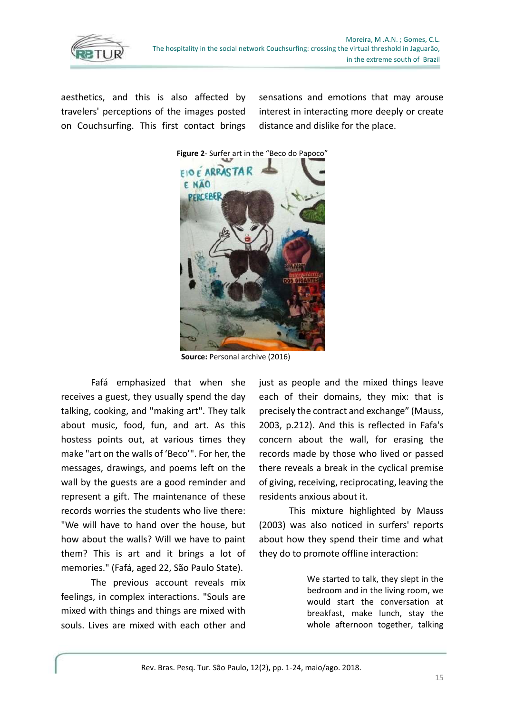

aesthetics, and this is also affected by travelers' perceptions of the images posted on Couchsurfing. This first contact brings sensations and emotions that may arouse interest in interacting more deeply or create distance and dislike for the place.



**Source:** Personal archive (2016)

Fafá emphasized that when she receives a guest, they usually spend the day talking, cooking, and "making art". They talk about music, food, fun, and art. As this hostess points out, at various times they make "art on the walls of 'Beco'". For her, the messages, drawings, and poems left on the wall by the guests are a good reminder and represent a gift. The maintenance of these records worries the students who live there: "We will have to hand over the house, but how about the walls? Will we have to paint them? This is art and it brings a lot of memories." (Fafá, aged 22, São Paulo State).

The previous account reveals mix feelings, in complex interactions. "Souls are mixed with things and things are mixed with souls. Lives are mixed with each other and just as people and the mixed things leave each of their domains, they mix: that is precisely the contract and exchange" (Mauss, 2003, p.212). And this is reflected in Fafa's concern about the wall, for erasing the records made by those who lived or passed there reveals a break in the cyclical premise of giving, receiving, reciprocating, leaving the residents anxious about it.

This mixture highlighted by Mauss (2003) was also noticed in surfers' reports about how they spend their time and what they do to promote offline interaction:

> We started to talk, they slept in the bedroom and in the living room, we would start the conversation at breakfast, make lunch, stay the whole afternoon together, talking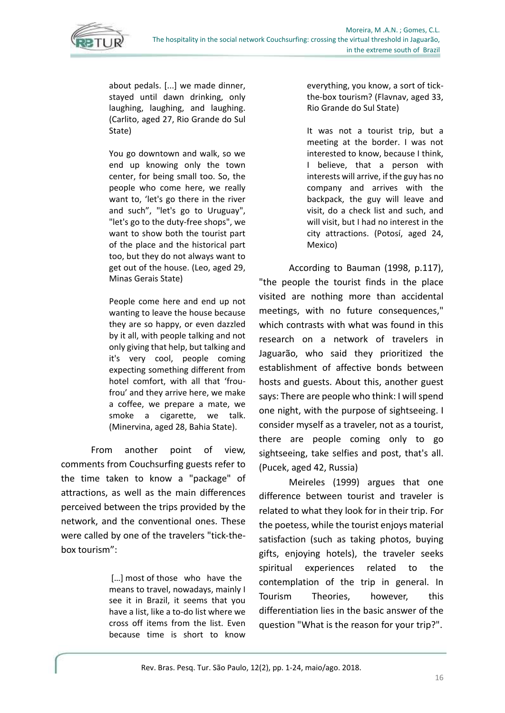

about pedals. [...] we made dinner, stayed until dawn drinking, only laughing, laughing, and laughing. (Carlito, aged 27, Rio Grande do Sul State)

You go downtown and walk, so we end up knowing only the town center, for being small too. So, the people who come here, we really want to, 'let's go there in the river and such", "let's go to Uruguay", "let's go to the duty-free shops", we want to show both the tourist part of the place and the historical part too, but they do not always want to get out of the house. (Leo, aged 29, Minas Gerais State)

People come here and end up not wanting to leave the house because they are so happy, or even dazzled by it all, with people talking and not only giving that help, but talking and it's very cool, people coming expecting something different from hotel comfort, with all that 'froufrou' and they arrive here, we make a coffee, we prepare a mate, we smoke a cigarette, we talk. (Minervina, aged 28, Bahia State).

From another point of view, comments from Couchsurfing guests refer to the time taken to know a "package" of attractions, as well as the main differences perceived between the trips provided by the network, and the conventional ones. These were called by one of the travelers "tick-thebox tourism":

> […] most of those who have the means to travel, nowadays, mainly I see it in Brazil, it seems that you have a list, like a to-do list where we cross off items from the list. Even because time is short to know

everything, you know, a sort of tickthe-box tourism? (Flavnav, aged 33, Rio Grande do Sul State)

It was not a tourist trip, but a meeting at the border. I was not interested to know, because I think, I believe, that a person with interests will arrive, if the guy has no company and arrives with the backpack, the guy will leave and visit, do a check list and such, and will visit, but I had no interest in the city attractions. (Potosí, aged 24, Mexico)

According to Bauman (1998, p.117), "the people the tourist finds in the place visited are nothing more than accidental meetings, with no future consequences," which contrasts with what was found in this research on a network of travelers in Jaguarão, who said they prioritized the establishment of affective bonds between hosts and guests. About this, another guest says: There are people who think: I will spend one night, with the purpose of sightseeing. I consider myself as a traveler, not as a tourist, there are people coming only to go sightseeing, take selfies and post, that's all. (Pucek, aged 42, Russia)

Meireles (1999) argues that one difference between tourist and traveler is related to what they look for in their trip. For the poetess, while the tourist enjoys material satisfaction (such as taking photos, buying gifts, enjoying hotels), the traveler seeks spiritual experiences related to the contemplation of the trip in general. In Tourism Theories, however, this differentiation lies in the basic answer of the question "What is the reason for your trip?".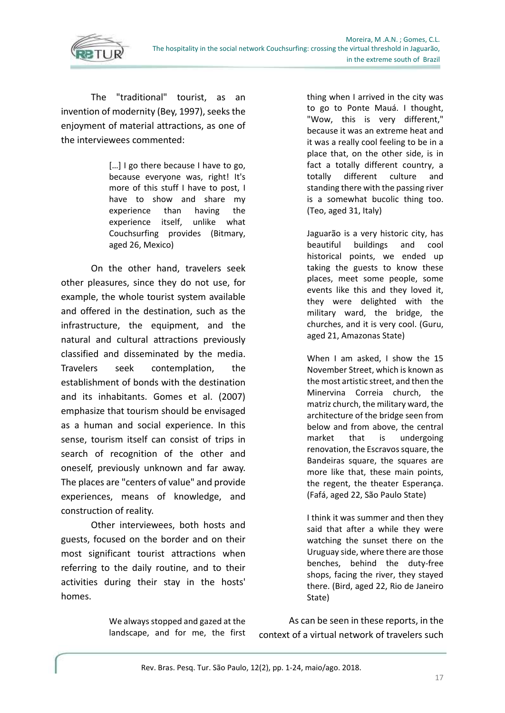

The "traditional" tourist, as an invention of modernity (Bey, 1997), seeks the enjoyment of material attractions, as one of the interviewees commented:

> [...] I go there because I have to go, because everyone was, right! It's more of this stuff I have to post, I have to show and share my experience than having the experience itself, unlike what Couchsurfing provides (Bitmary, aged 26, Mexico)

On the other hand, travelers seek other pleasures, since they do not use, for example, the whole tourist system available and offered in the destination, such as the infrastructure, the equipment, and the natural and cultural attractions previously classified and disseminated by the media. Travelers seek contemplation, the establishment of bonds with the destination and its inhabitants. Gomes et al. (2007) emphasize that tourism should be envisaged as a human and social experience. In this sense, tourism itself can consist of trips in search of recognition of the other and oneself, previously unknown and far away. The places are "centers of value" and provide experiences, means of knowledge, and construction of reality.

Other interviewees, both hosts and guests, focused on the border and on their most significant tourist attractions when referring to the daily routine, and to their activities during their stay in the hosts' homes.

thing when I arrived in the city was to go to Ponte Mauá. I thought, "Wow, this is very different," because it was an extreme heat and it was a really cool feeling to be in a place that, on the other side, is in fact a totally different country, a totally different culture and standing there with the passing river is a somewhat bucolic thing too. (Teo, aged 31, Italy)

Jaguarão is a very historic city, has beautiful buildings and cool historical points, we ended up taking the guests to know these places, meet some people, some events like this and they loved it, they were delighted with the military ward, the bridge, the churches, and it is very cool. (Guru, aged 21, Amazonas State)

When I am asked, I show the 15 November Street, which is known as the most artistic street, and then the Minervina Correia church, the matriz church, the military ward, the architecture of the bridge seen from below and from above, the central market that is undergoing renovation, the Escravos square, the Bandeiras square, the squares are more like that, these main points, the regent, the theater Esperança. (Fafá, aged 22, São Paulo State)

I think it was summer and then they said that after a while they were watching the sunset there on the Uruguay side, where there are those benches, behind the duty-free shops, facing the river, they stayed there. (Bird, aged 22, Rio de Janeiro State)

We always stopped and gazed at the landscape, and for me, the first

As can be seen in these reports, in the context of a virtual network of travelers such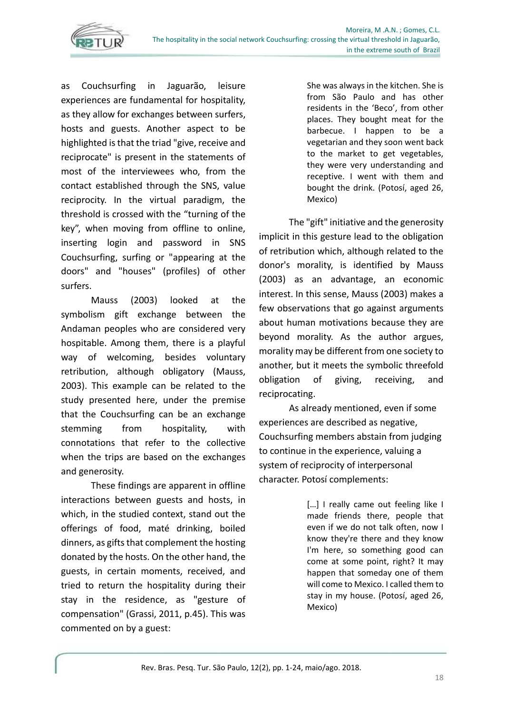



as Couchsurfing in Jaguarão, leisure experiences are fundamental for hospitality, as they allow for exchanges between surfers, hosts and guests. Another aspect to be highlighted is that the triad "give, receive and reciprocate" is present in the statements of most of the interviewees who, from the contact established through the SNS, value reciprocity. In the virtual paradigm, the threshold is crossed with the "turning of the key", when moving from offline to online, inserting login and password in SNS Couchsurfing, surfing or "appearing at the doors" and "houses" (profiles) of other surfers.

Mauss (2003) looked at the symbolism gift exchange between the Andaman peoples who are considered very hospitable. Among them, there is a playful way of welcoming, besides voluntary retribution, although obligatory (Mauss, 2003). This example can be related to the study presented here, under the premise that the Couchsurfing can be an exchange stemming from hospitality, with connotations that refer to the collective when the trips are based on the exchanges and generosity.

These findings are apparent in offline interactions between guests and hosts, in which, in the studied context, stand out the offerings of food, maté drinking, boiled dinners, as gifts that complement the hosting donated by the hosts. On the other hand, the guests, in certain moments, received, and tried to return the hospitality during their stay in the residence, as "gesture of compensation" (Grassi, 2011, p.45). This was commented on by a guest:

She was always in the kitchen. She is from São Paulo and has other residents in the 'Beco', from other places. They bought meat for the barbecue. I happen to be a vegetarian and they soon went back to the market to get vegetables, they were very understanding and receptive. I went with them and bought the drink. (Potosí, aged 26, Mexico)

The "gift" initiative and the generosity implicit in this gesture lead to the obligation of retribution which, although related to the donor's morality, is identified by Mauss (2003) as an advantage, an economic interest. In this sense, Mauss (2003) makes a few observations that go against arguments about human motivations because they are beyond morality. As the author argues, morality may be different from one society to another, but it meets the symbolic threefold obligation of giving, receiving, and reciprocating.

As already mentioned, even if some experiences are described as negative, Couchsurfing members abstain from judging to continue in the experience, valuing a system of reciprocity of interpersonal character. Potosí complements:

> [...] I really came out feeling like I made friends there, people that even if we do not talk often, now I know they're there and they know I'm here, so something good can come at some point, right? It may happen that someday one of them will come to Mexico. I called them to stay in my house. (Potosí, aged 26, Mexico)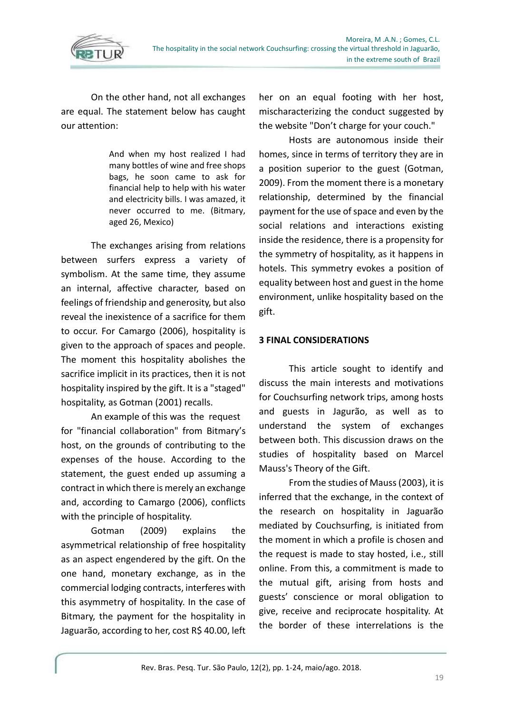

On the other hand, not all exchanges are equal. The statement below has caught our attention:

> And when my host realized I had many bottles of wine and free shops bags, he soon came to ask for financial help to help with his water and electricity bills. I was amazed, it never occurred to me. (Bitmary, aged 26, Mexico)

The exchanges arising from relations between surfers express a variety of symbolism. At the same time, they assume an internal, affective character, based on feelings of friendship and generosity, but also reveal the inexistence of a sacrifice for them to occur. For Camargo (2006), hospitality is given to the approach of spaces and people. The moment this hospitality abolishes the sacrifice implicit in its practices, then it is not hospitality inspired by the gift. It is a "staged" hospitality, as Gotman (2001) recalls.

An example of this was the request for "financial collaboration" from Bitmary's host, on the grounds of contributing to the expenses of the house. According to the statement, the guest ended up assuming a contract in which there is merely an exchange and, according to Camargo (2006), conflicts with the principle of hospitality.

Gotman (2009) explains the asymmetrical relationship of free hospitality as an aspect engendered by the gift. On the one hand, monetary exchange, as in the commercial lodging contracts, interferes with this asymmetry of hospitality. In the case of Bitmary, the payment for the hospitality in Jaguarão, according to her, cost R\$ 40.00, left

her on an equal footing with her host, mischaracterizing the conduct suggested by the website "Don't charge for your couch."

Hosts are autonomous inside their homes, since in terms of territory they are in a position superior to the guest (Gotman, 2009). From the moment there is a monetary relationship, determined by the financial payment for the use of space and even by the social relations and interactions existing inside the residence, there is a propensity for the symmetry of hospitality, as it happens in hotels. This symmetry evokes a position of equality between host and guest in the home environment, unlike hospitality based on the gift.

### **3 FINAL CONSIDERATIONS**

This article sought to identify and discuss the main interests and motivations for Couchsurfing network trips, among hosts and guests in Jagurão, as well as to understand the system of exchanges between both. This discussion draws on the studies of hospitality based on Marcel Mauss's Theory of the Gift.

From the studies of Mauss (2003), it is inferred that the exchange, in the context of the research on hospitality in Jaguarão mediated by Couchsurfing, is initiated from the moment in which a profile is chosen and the request is made to stay hosted, i.e., still online. From this, a commitment is made to the mutual gift, arising from hosts and guests' conscience or moral obligation to give, receive and reciprocate hospitality. At the border of these interrelations is the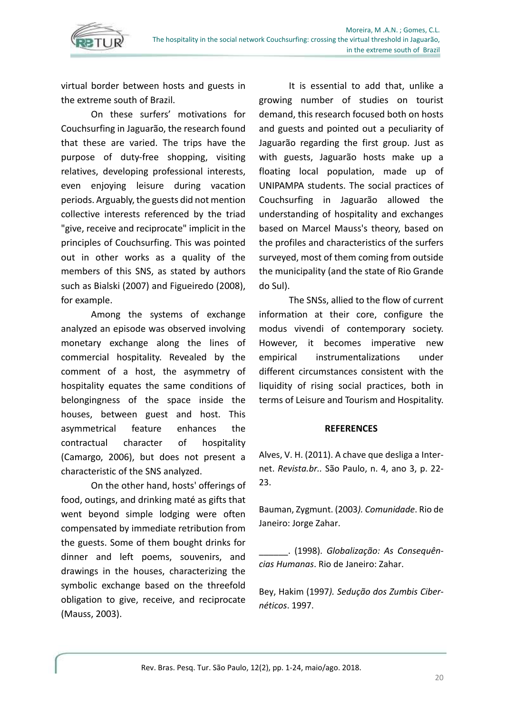

virtual border between hosts and guests in the extreme south of Brazil.

On these surfers' motivations for Couchsurfing in Jaguarão, the research found that these are varied. The trips have the purpose of duty-free shopping, visiting relatives, developing professional interests, even enjoying leisure during vacation periods. Arguably, the guests did not mention collective interests referenced by the triad "give, receive and reciprocate" implicit in the principles of Couchsurfing. This was pointed out in other works as a quality of the members of this SNS, as stated by authors such as Bialski (2007) and Figueiredo (2008), for example.

Among the systems of exchange analyzed an episode was observed involving monetary exchange along the lines of commercial hospitality. Revealed by the comment of a host, the asymmetry of hospitality equates the same conditions of belongingness of the space inside the houses, between guest and host. This asymmetrical feature enhances the contractual character of hospitality (Camargo, 2006), but does not present a characteristic of the SNS analyzed.

On the other hand, hosts' offerings of food, outings, and drinking maté as gifts that went beyond simple lodging were often compensated by immediate retribution from the guests. Some of them bought drinks for dinner and left poems, souvenirs, and drawings in the houses, characterizing the symbolic exchange based on the threefold obligation to give, receive, and reciprocate (Mauss, 2003).

It is essential to add that, unlike a growing number of studies on tourist demand, this research focused both on hosts and guests and pointed out a peculiarity of Jaguarão regarding the first group. Just as with guests, Jaguarão hosts make up a floating local population, made up of UNIPAMPA students. The social practices of Couchsurfing in Jaguarão allowed the understanding of hospitality and exchanges based on Marcel Mauss's theory, based on the profiles and characteristics of the surfers surveyed, most of them coming from outside the municipality (and the state of Rio Grande do Sul).

The SNSs, allied to the flow of current information at their core, configure the modus vivendi of contemporary society. However, it becomes imperative new empirical instrumentalizations under different circumstances consistent with the liquidity of rising social practices, both in terms of Leisure and Tourism and Hospitality.

### **REFERENCES**

Alves, V. H. (2011). A chave que desliga a Internet. *Revista.br..* São Paulo, n. 4, ano 3, p. 22- 23.

Bauman, Zygmunt. (2003*). Comunidade*. Rio de Janeiro: Jorge Zahar.

\_\_\_\_\_\_. (1998). *Globalização: As Consequências Humanas*. Rio de Janeiro: Zahar.

Bey, Hakim (1997*). Sedução dos Zumbis Cibernéticos*. 1997.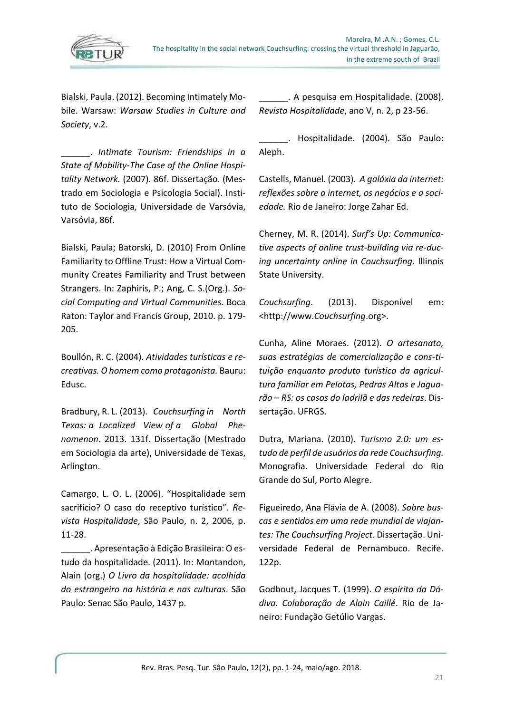

Bialski, Paula. (2012). Becoming Intimately Mobile. Warsaw: *Warsaw Studies in Culture and Society*, v.2.

\_\_\_\_\_\_. *Intimate Tourism: Friendships in a State of Mobility-The Case of the Online Hospitality Network.* (2007). 86f. Dissertação. (Mestrado em Sociologia e Psicologia Social). Instituto de Sociologia, Universidade de Varsóvia, Varsóvia, 86f.

Bialski, Paula; Batorski, D. (2010) From Online Familiarity to Offline Trust: How a Virtual Community Creates Familiarity and Trust between Strangers. In: Zaphiris, P.; Ang, C. S.(Org.). *Social Computing and Virtual Communities*. Boca Raton: Taylor and Francis Group, 2010. p. 179- 205.

Boullón, R. C. (2004). *Atividades turísticas e recreativas. O homem como protagonista.* Bauru: Edusc.

Bradbury, R. L. (2013). *Couchsurfing in North Texas: a Localized View of a Global Phenomenon*. 2013. 131f. Dissertação (Mestrado em Sociologia da arte), Universidade de Texas, Arlington.

Camargo, L. O. L. (2006). "Hospitalidade sem sacrifício? O caso do receptivo turístico". *Revista Hospitalidade*, São Paulo, n. 2, 2006, p. 11-28.

\_\_\_\_\_\_. Apresentação à Edição Brasileira: O estudo da hospitalidade. (2011). In: Montandon, Alain (org.) *O Livro da hospitalidade: acolhida do estrangeiro na história e nas culturas*. São Paulo: Senac São Paulo, 1437 p.

\_\_\_\_\_\_. A pesquisa em Hospitalidade. (2008). *Revista Hospitalidade*, ano V, n. 2, p 23-56.

Hospitalidade. (2004). São Paulo: Aleph.

Castells, Manuel. (2003). *A galáxia da internet: reflexões sobre a internet, os negócios e a sociedade.* Rio de Janeiro: Jorge Zahar Ed.

Cherney, M. R. (2014). *Surf's Up: Communicative aspects of online trust-building via re-ducing uncertainty online in Couchsurfing*. Illinois State University.

*Couchsurfing*. (2013). Disponível em: <http://www.*Couchsurfing*.org>.

Cunha, Aline Moraes. (2012). *O artesanato, suas estratégias de comercialização e cons-tituição enquanto produto turístico da agricultura familiar em Pelotas, Pedras Altas e Jaguarão – RS: os casos do ladrilã e das redeiras*. Dissertação. UFRGS.

Dutra, Mariana. (2010). *Turismo 2.0: um estudo de perfil de usuários da rede Couchsurfing.* Monografia. Universidade Federal do Rio Grande do Sul, Porto Alegre.

Figueiredo, Ana Flávia de A. (2008). *Sobre buscas e sentidos em uma rede mundial de viajantes: The Couchsurfing Project*. Dissertação. Universidade Federal de Pernambuco. Recife. 122p.

Godbout, Jacques T. (1999). *O espírito da Dádiva. Colaboração de Alain Caillé*. Rio de Janeiro: Fundação Getúlio Vargas.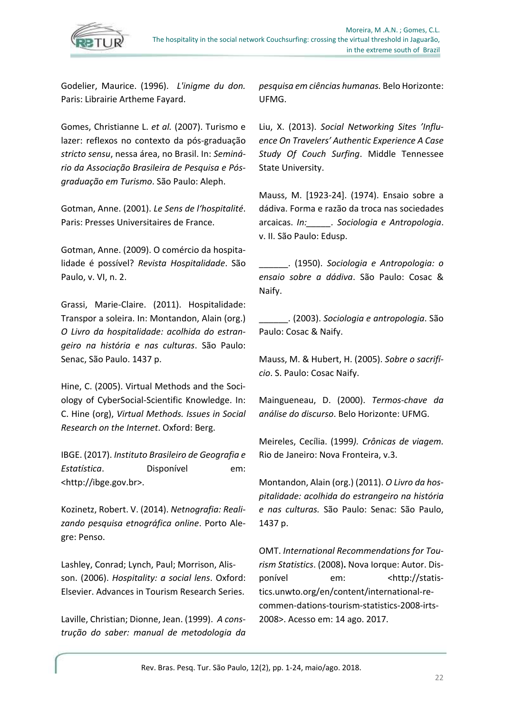

Godelier, Maurice. (1996). *L'inigme du don.* Paris: Librairie Artheme Fayard.

Gomes, Christianne L. *et al.* (2007). Turismo e lazer: reflexos no contexto da pós-graduação *stricto sensu*, nessa área, no Brasil. In: *Seminário da Associação Brasileira de Pesquisa e Pósgraduação em Turismo*. São Paulo: Aleph.

Gotman, Anne. (2001). *Le Sens de l'hospitalité*. Paris: Presses Universitaires de France.

Gotman, Anne. (2009). O comércio da hospitalidade é possível? *Revista Hospitalidade*. São Paulo, v. VI, n. 2.

Grassi, Marie-Claire. (2011). Hospitalidade: Transpor a soleira. In: Montandon, Alain (org.) *O Livro da hospitalidade: acolhida do estrangeiro na história e nas culturas*. São Paulo: Senac, São Paulo. 1437 p.

Hine, C. (2005). Virtual Methods and the Sociology of CyberSocial-Scientific Knowledge. In: C. Hine (org), *Virtual Methods. Issues in Social Research on the Internet*. Oxford: Berg.

IBGE. (2017). *Instituto Brasileiro de Geografia e Estatística*. Disponível em: <http://ibge.gov.br>.

Kozinetz, Robert. V. (2014). *Netnografia: Realizando pesquisa etnográfica online*. Porto Alegre: Penso.

Lashley, Conrad; Lynch, Paul; Morrison, Alisson. (2006). *Hospitality: a social lens*. Oxford: Elsevier. Advances in Tourism Research Series.

Laville, Christian; Dionne, Jean. (1999). *A construção do saber: manual de metodologia da*  *pesquisa em ciências humanas.* Belo Horizonte: UFMG.

Liu, X. (2013). *Social Networking Sites 'Influence On Travelers' Authentic Experience A Case Study Of Couch Surfing*. Middle Tennessee State University.

Mauss, M. [1923-24]. (1974). Ensaio sobre a dádiva. Forma e razão da troca nas sociedades arcaicas. *In:\_\_\_\_\_. Sociologia e Antropologia*. v. II. São Paulo: Edusp.

\_\_\_\_\_\_. (1950). *Sociologia e Antropologia: o ensaio sobre a dádiva*. São Paulo: Cosac & Naify.

\_\_\_\_\_\_. (2003). *Sociologia e antropologia*. São Paulo: Cosac & Naify.

Mauss, M. & Hubert, H. (2005). *Sobre o sacrifício*. S. Paulo: Cosac Naify.

Maingueneau, D. (2000). *Termos-chave da análise do discurso*. Belo Horizonte: UFMG.

Meireles, Cecília. (1999*). Crônicas de viagem.*  Rio de Janeiro: Nova Fronteira, v.3.

Montandon, Alain (org.) (2011). *O Livro da hospitalidade: acolhida do estrangeiro na história e nas culturas.* São Paulo: Senac: São Paulo, 1437 p.

OMT. *International Recommendations for Tourism Statistics*. (2008)**.** Nova Iorque: Autor. Disponível em: <http://statistics.unwto.org/en/content/international-recommen-dations-tourism-statistics-2008-irts-2008>. Acesso em: 14 ago. 2017.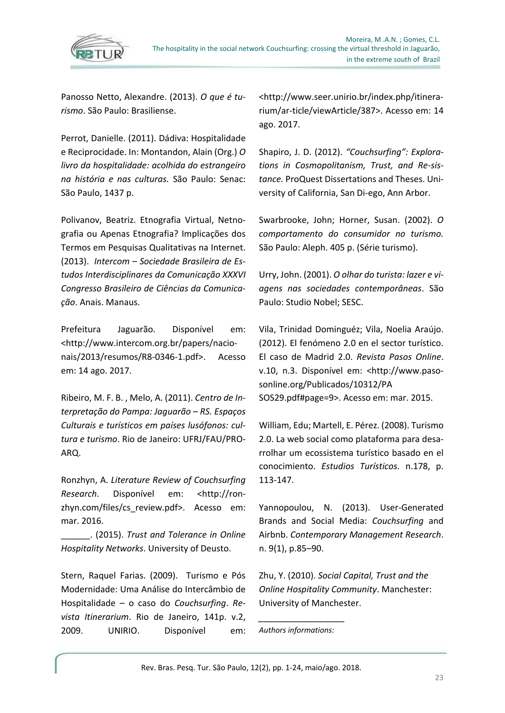

Panosso Netto, Alexandre. (2013). *O que é turismo*. São Paulo: Brasiliense.

Perrot, Danielle. (2011). Dádiva: Hospitalidade e Reciprocidade. In: Montandon, Alain (Org.) *O livro da hospitalidade: acolhida do estrangeiro na história e nas culturas.* São Paulo: Senac: São Paulo, 1437 p.

Polivanov, Beatriz. Etnografia Virtual, Netnografia ou Apenas Etnografia? Implicações dos Termos em Pesquisas Qualitativas na Internet. (2013). *Intercom – Sociedade Brasileira de Estudos Interdisciplinares da Comunicação XXXVI Congresso Brasileiro de Ciências da Comunicação*. Anais. Manaus.

Prefeitura Jaguarão. Disponível em: <http://www.intercom.org.br/papers/nacionais/2013/resumos/R8-0346-1.pdf>. Acesso em: 14 ago. 2017.

Ribeiro, M. F. B. , Melo, A. (2011). *Centro de Interpretação do Pampa: Jaguarão – RS. Espaços Culturais e turísticos em países lusófonos: cultura e turismo*. Rio de Janeiro: UFRJ/FAU/PRO-ARQ.

Ronzhyn, A. *Literature Review of Couchsurfing Research*. Disponível em: <http://ronzhyn.com/files/cs\_review.pdf>. Acesso em: mar. 2016.

\_\_\_\_\_\_. (2015). *Trust and Tolerance in Online Hospitality Networks*. University of Deusto.

Stern, Raquel Farias. (2009). Turismo e Pós Modernidade: Uma Análise do Intercâmbio de Hospitalidade – o caso do *Couchsurfing*. *Revista Itinerarium*. Rio de Janeiro, 141p. v.2, 2009. UNIRIO. Disponível em: <http://www.seer.unirio.br/index.php/itinerarium/ar-ticle/viewArticle/387>. Acesso em: 14 ago. 2017.

Shapiro, J. D. (2012). *"Couchsurfing": Explorations in Cosmopolitanism, Trust, and Re-sistance.* ProQuest Dissertations and Theses. University of California, San Di-ego, Ann Arbor.

Swarbrooke, John; Horner, Susan. (2002). *O comportamento do consumidor no turismo.* São Paulo: Aleph. 405 p. (Série turismo).

Urry, John. (2001). *O olhar do turista: lazer e viagens nas sociedades contemporâneas*. São Paulo: Studio Nobel; SESC.

Vila, Trinidad Dominguéz; Vila, Noelia Araújo. (2012). El fenómeno 2.0 en el sector turístico. El caso de Madrid 2.0. *Revista Pasos Online*. v.10, n.3. Disponível em: <http://www.pasosonline.org/Publicados/10312/PA SOS29.pdf#page=9>. Acesso em: mar. 2015.

William, Edu; Martell, E. Pérez. (2008). Turismo 2.0. La web social como plataforma para desarrolhar um ecossistema turístico basado en el conocimiento. *Estudios Turísticos.* n.178, p. 113-147.

Yannopoulou, N. (2013). User-Generated Brands and Social Media: *Couchsurfing* and Airbnb. *Contemporary Management Research*. n. 9(1), p.85–90.

Zhu, Y. (2010). *Social Capital, Trust and the Online Hospitality Community*. Manchester: University of Manchester.

*\_\_\_\_\_\_\_\_\_\_\_\_\_\_\_\_\_*

*Authors informations:*